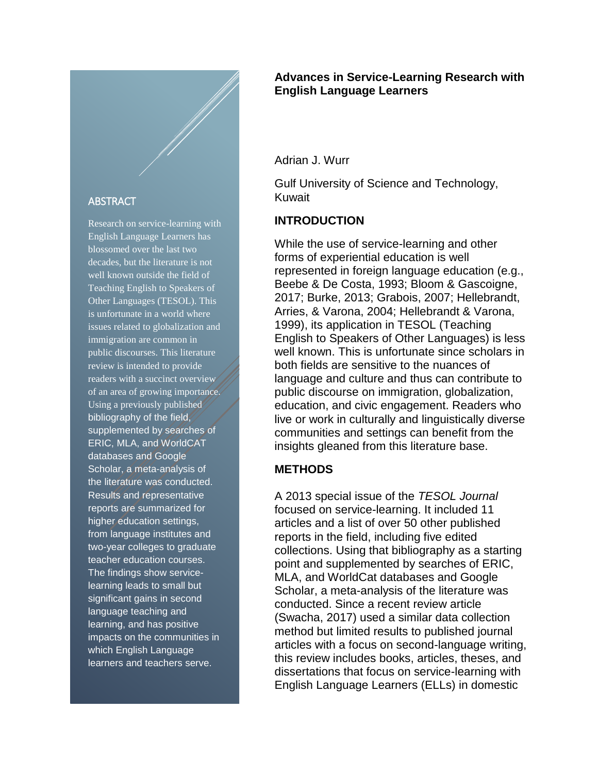#### **ABSTRACT**

Research on service-learning with English Language Learners has blossomed over the last two decades, but the literature is not well known outside the field of Teaching English to Speakers of Other Languages (TESOL). This is unfortunate in a world where issues related to globalization and immigration are common in public discourses. This literature review is intended to provide readers with a succinct overview of an area of growing importance. Using a previously published bibliography of the field, supplemented by searches of ERIC, MLA, and WorldCAT databases and Google Scholar, a meta-analysis of the literature was conducted. Results and representative reports are summarized for higher education settings, from language institutes and two-year colleges to graduate teacher education courses. The findings show servicelearning leads to small but significant gains in second language teaching and learning, and has positive impacts on the communities in which English Language learners and teachers serve.

## **Advances in Service-Learning Research with English Language Learners**

Adrian J. Wurr

Gulf University of Science and Technology, Kuwait

## **INTRODUCTION**

While the use of service-learning and other forms of experiential education is well represented in foreign language education (e.g., Beebe & De Costa, 1993; Bloom & Gascoigne, 2017; Burke, 2013; Grabois, 2007; Hellebrandt, Arries, & Varona, 2004; Hellebrandt & Varona, 1999), its application in TESOL (Teaching English to Speakers of Other Languages) is less well known. This is unfortunate since scholars in both fields are sensitive to the nuances of language and culture and thus can contribute to public discourse on immigration, globalization, education, and civic engagement. Readers who live or work in culturally and linguistically diverse communities and settings can benefit from the insights gleaned from this literature base.

## **METHODS**

A 2013 special issue of the *TESOL Journal* focused on service-learning. It included 11 articles and a list of over 50 other published reports in the field, including five edited collections. Using that bibliography as a starting point and supplemented by searches of ERIC, MLA, and WorldCat databases and Google Scholar, a meta-analysis of the literature was conducted. Since a recent review article (Swacha, 2017) used a similar data collection method but limited results to published journal articles with a focus on second-language writing, this review includes books, articles, theses, and dissertations that focus on service-learning with English Language Learners (ELLs) in domestic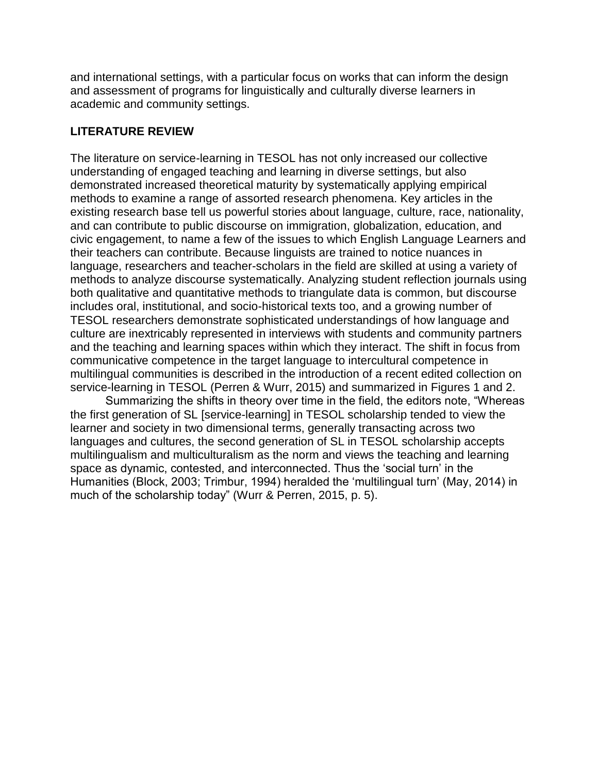and international settings, with a particular focus on works that can inform the design and assessment of programs for linguistically and culturally diverse learners in academic and community settings.

# **LITERATURE REVIEW**

The literature on service-learning in TESOL has not only increased our collective understanding of engaged teaching and learning in diverse settings, but also demonstrated increased theoretical maturity by systematically applying empirical methods to examine a range of assorted research phenomena. Key articles in the existing research base tell us powerful stories about language, culture, race, nationality, and can contribute to public discourse on immigration, globalization, education, and civic engagement, to name a few of the issues to which English Language Learners and their teachers can contribute. Because linguists are trained to notice nuances in language, researchers and teacher-scholars in the field are skilled at using a variety of methods to analyze discourse systematically. Analyzing student reflection journals using both qualitative and quantitative methods to triangulate data is common, but discourse includes oral, institutional, and socio-historical texts too, and a growing number of TESOL researchers demonstrate sophisticated understandings of how language and culture are inextricably represented in interviews with students and community partners and the teaching and learning spaces within which they interact. The shift in focus from communicative competence in the target language to intercultural competence in multilingual communities is described in the introduction of a recent edited collection on service-learning in TESOL (Perren & Wurr, 2015) and summarized in Figures 1 and 2.

Summarizing the shifts in theory over time in the field, the editors note, "Whereas the first generation of SL [service-learning] in TESOL scholarship tended to view the learner and society in two dimensional terms, generally transacting across two languages and cultures, the second generation of SL in TESOL scholarship accepts multilingualism and multiculturalism as the norm and views the teaching and learning space as dynamic, contested, and interconnected. Thus the 'social turn' in the Humanities (Block, 2003; Trimbur, 1994) heralded the 'multilingual turn' (May, 2014) in much of the scholarship today" (Wurr & Perren, 2015, p. 5).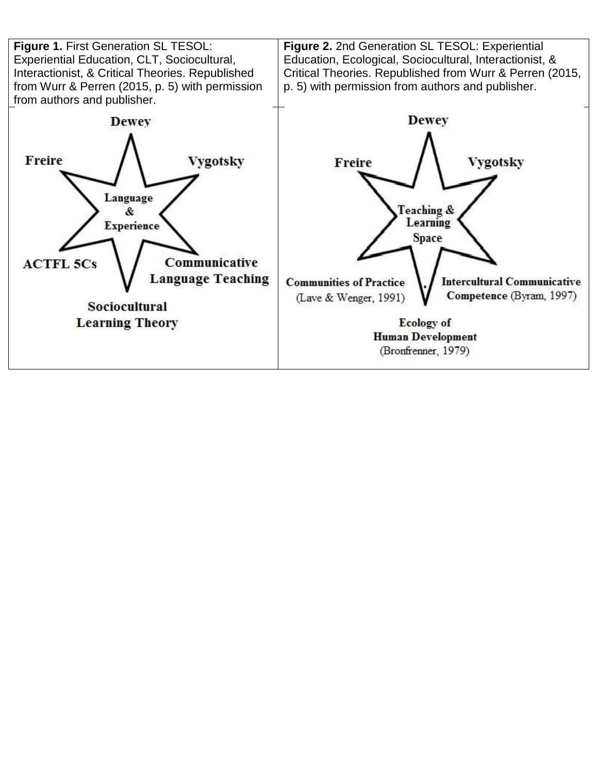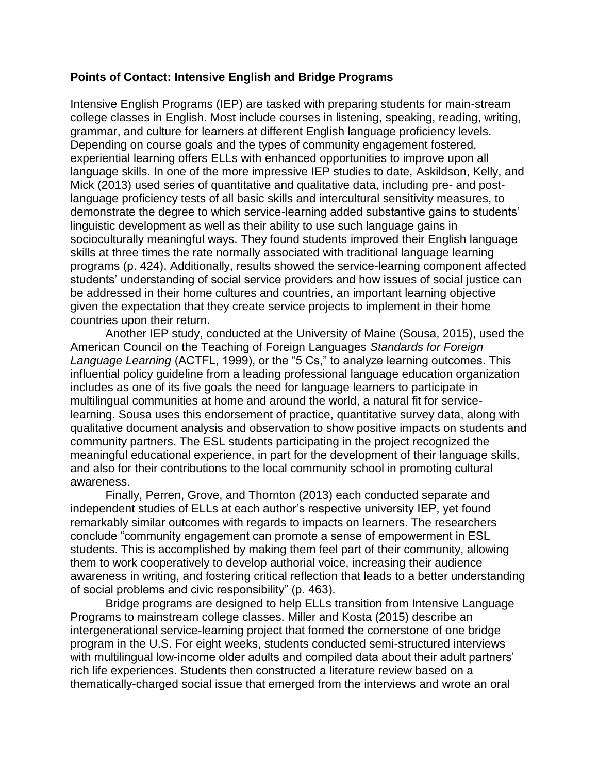## **Points of Contact: Intensive English and Bridge Programs**

Intensive English Programs (IEP) are tasked with preparing students for main-stream college classes in English. Most include courses in listening, speaking, reading, writing, grammar, and culture for learners at different English language proficiency levels. Depending on course goals and the types of community engagement fostered, experiential learning offers ELLs with enhanced opportunities to improve upon all language skills. In one of the more impressive IEP studies to date, Askildson, Kelly, and Mick (2013) used series of quantitative and qualitative data, including pre- and postlanguage proficiency tests of all basic skills and intercultural sensitivity measures, to demonstrate the degree to which service-learning added substantive gains to students' linguistic development as well as their ability to use such language gains in socioculturally meaningful ways. They found students improved their English language skills at three times the rate normally associated with traditional language learning programs (p. 424). Additionally, results showed the service-learning component affected students' understanding of social service providers and how issues of social justice can be addressed in their home cultures and countries, an important learning objective given the expectation that they create service projects to implement in their home countries upon their return.

Another IEP study, conducted at the University of Maine (Sousa, 2015), used the American Council on the Teaching of Foreign Languages *Standards for Foreign Language Learning* (ACTFL, 1999), or the "5 Cs," to analyze learning outcomes. This influential policy guideline from a leading professional language education organization includes as one of its five goals the need for language learners to participate in multilingual communities at home and around the world, a natural fit for servicelearning. Sousa uses this endorsement of practice, quantitative survey data, along with qualitative document analysis and observation to show positive impacts on students and community partners. The ESL students participating in the project recognized the meaningful educational experience, in part for the development of their language skills, and also for their contributions to the local community school in promoting cultural awareness.

Finally, Perren, Grove, and Thornton (2013) each conducted separate and independent studies of ELLs at each author's respective university IEP, yet found remarkably similar outcomes with regards to impacts on learners. The researchers conclude "community engagement can promote a sense of empowerment in ESL students. This is accomplished by making them feel part of their community, allowing them to work cooperatively to develop authorial voice, increasing their audience awareness in writing, and fostering critical reflection that leads to a better understanding of social problems and civic responsibility" (p. 463).

Bridge programs are designed to help ELLs transition from Intensive Language Programs to mainstream college classes. Miller and Kosta (2015) describe an intergenerational service-learning project that formed the cornerstone of one bridge program in the U.S. For eight weeks, students conducted semi-structured interviews with multilingual low-income older adults and compiled data about their adult partners' rich life experiences. Students then constructed a literature review based on a thematically-charged social issue that emerged from the interviews and wrote an oral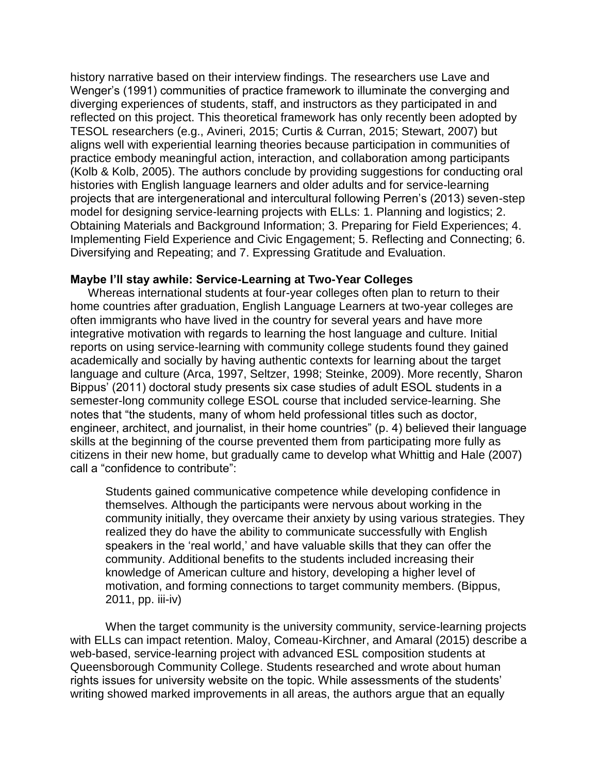history narrative based on their interview findings. The researchers use Lave and Wenger's (1991) communities of practice framework to illuminate the converging and diverging experiences of students, staff, and instructors as they participated in and reflected on this project. This theoretical framework has only recently been adopted by TESOL researchers (e.g., Avineri, 2015; Curtis & Curran, 2015; Stewart, 2007) but aligns well with experiential learning theories because participation in communities of practice embody meaningful action, interaction, and collaboration among participants (Kolb & Kolb, 2005). The authors conclude by providing suggestions for conducting oral histories with English language learners and older adults and for service-learning projects that are intergenerational and intercultural following Perren's (2013) seven-step model for designing service-learning projects with ELLs: 1. Planning and logistics; 2. Obtaining Materials and Background Information; 3. Preparing for Field Experiences; 4. Implementing Field Experience and Civic Engagement; 5. Reflecting and Connecting; 6. Diversifying and Repeating; and 7. Expressing Gratitude and Evaluation.

#### **Maybe I'll stay awhile: Service-Learning at Two-Year Colleges**

Whereas international students at four-year colleges often plan to return to their home countries after graduation, English Language Learners at two-year colleges are often immigrants who have lived in the country for several years and have more integrative motivation with regards to learning the host language and culture. Initial reports on using service-learning with community college students found they gained academically and socially by having authentic contexts for learning about the target language and culture (Arca, 1997, Seltzer, 1998; Steinke, 2009). More recently, Sharon Bippus' (2011) doctoral study presents six case studies of adult ESOL students in a semester-long community college ESOL course that included service-learning. She notes that "the students, many of whom held professional titles such as doctor, engineer, architect, and journalist, in their home countries" (p. 4) believed their language skills at the beginning of the course prevented them from participating more fully as citizens in their new home, but gradually came to develop what Whittig and Hale (2007) call a "confidence to contribute":

Students gained communicative competence while developing confidence in themselves. Although the participants were nervous about working in the community initially, they overcame their anxiety by using various strategies. They realized they do have the ability to communicate successfully with English speakers in the 'real world,' and have valuable skills that they can offer the community. Additional benefits to the students included increasing their knowledge of American culture and history, developing a higher level of motivation, and forming connections to target community members. (Bippus, 2011, pp. iii-iv)

When the target community is the university community, service-learning projects with ELLs can impact retention. Maloy, Comeau-Kirchner, and Amaral (2015) describe a web-based, service-learning project with advanced ESL composition students at Queensborough Community College. Students researched and wrote about human rights issues for university website on the topic. While assessments of the students' writing showed marked improvements in all areas, the authors argue that an equally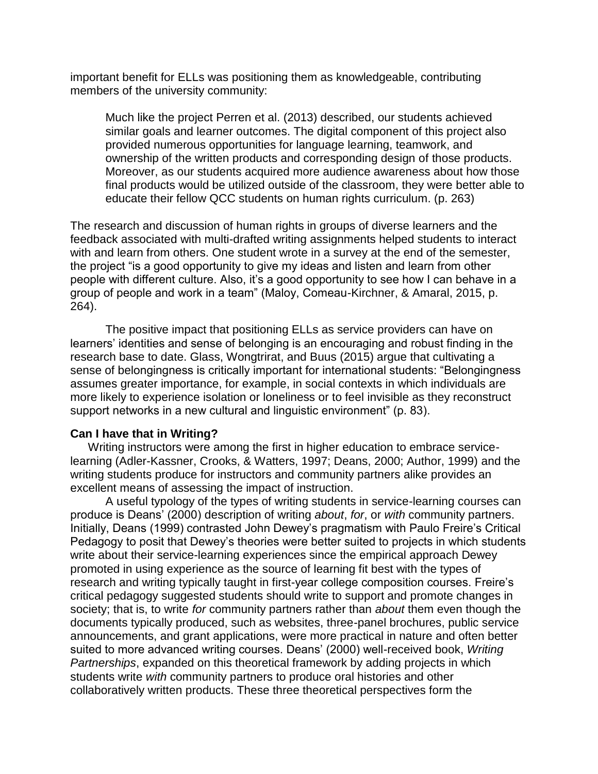important benefit for ELLs was positioning them as knowledgeable, contributing members of the university community:

Much like the project Perren et al. (2013) described, our students achieved similar goals and learner outcomes. The digital component of this project also provided numerous opportunities for language learning, teamwork, and ownership of the written products and corresponding design of those products. Moreover, as our students acquired more audience awareness about how those final products would be utilized outside of the classroom, they were better able to educate their fellow QCC students on human rights curriculum. (p. 263)

The research and discussion of human rights in groups of diverse learners and the feedback associated with multi-drafted writing assignments helped students to interact with and learn from others. One student wrote in a survey at the end of the semester, the project "is a good opportunity to give my ideas and listen and learn from other people with different culture. Also, it's a good opportunity to see how I can behave in a group of people and work in a team" (Maloy, Comeau-Kirchner, & Amaral, 2015, p. 264).

The positive impact that positioning ELLs as service providers can have on learners' identities and sense of belonging is an encouraging and robust finding in the research base to date. Glass, Wongtrirat, and Buus (2015) argue that cultivating a sense of belongingness is critically important for international students: "Belongingness assumes greater importance, for example, in social contexts in which individuals are more likely to experience isolation or loneliness or to feel invisible as they reconstruct support networks in a new cultural and linguistic environment" (p. 83).

## **Can I have that in Writing?**

Writing instructors were among the first in higher education to embrace servicelearning (Adler-Kassner, Crooks, & Watters, 1997; Deans, 2000; Author, 1999) and the writing students produce for instructors and community partners alike provides an excellent means of assessing the impact of instruction.

A useful typology of the types of writing students in service-learning courses can produce is Deans' (2000) description of writing *about*, *for*, or *with* community partners. Initially, Deans (1999) contrasted John Dewey's pragmatism with Paulo Freire's Critical Pedagogy to posit that Dewey's theories were better suited to projects in which students write about their service-learning experiences since the empirical approach Dewey promoted in using experience as the source of learning fit best with the types of research and writing typically taught in first-year college composition courses. Freire's critical pedagogy suggested students should write to support and promote changes in society; that is, to write *for* community partners rather than *about* them even though the documents typically produced, such as websites, three-panel brochures, public service announcements, and grant applications, were more practical in nature and often better suited to more advanced writing courses. Deans' (2000) well-received book, *Writing Partnerships*, expanded on this theoretical framework by adding projects in which students write *with* community partners to produce oral histories and other collaboratively written products. These three theoretical perspectives form the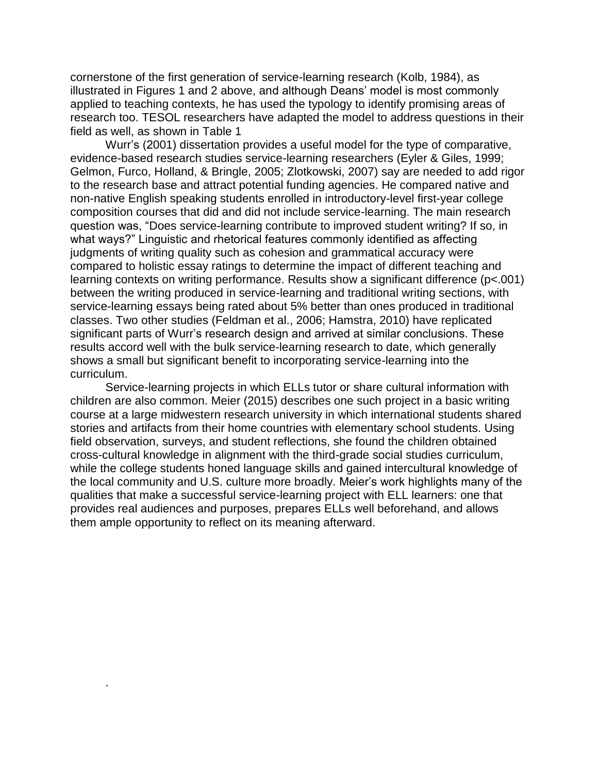cornerstone of the first generation of service-learning research (Kolb, 1984), as illustrated in Figures 1 and 2 above, and although Deans' model is most commonly applied to teaching contexts, he has used the typology to identify promising areas of research too. TESOL researchers have adapted the model to address questions in their field as well, as shown in Table 1

Wurr's (2001) dissertation provides a useful model for the type of comparative, evidence-based research studies service-learning researchers (Eyler & Giles, 1999; Gelmon, Furco, Holland, & Bringle, 2005; Zlotkowski, 2007) say are needed to add rigor to the research base and attract potential funding agencies. He compared native and non-native English speaking students enrolled in introductory-level first-year college composition courses that did and did not include service-learning. The main research question was, "Does service-learning contribute to improved student writing? If so, in what ways?" Linguistic and rhetorical features commonly identified as affecting judgments of writing quality such as cohesion and grammatical accuracy were compared to holistic essay ratings to determine the impact of different teaching and learning contexts on writing performance. Results show a significant difference (p<.001) between the writing produced in service-learning and traditional writing sections, with service-learning essays being rated about 5% better than ones produced in traditional classes. Two other studies (Feldman et al., 2006; Hamstra, 2010) have replicated significant parts of Wurr's research design and arrived at similar conclusions. These results accord well with the bulk service-learning research to date, which generally shows a small but significant benefit to incorporating service-learning into the curriculum.

Service-learning projects in which ELLs tutor or share cultural information with children are also common. Meier (2015) describes one such project in a basic writing course at a large midwestern research university in which international students shared stories and artifacts from their home countries with elementary school students. Using field observation, surveys, and student reflections, she found the children obtained cross-cultural knowledge in alignment with the third-grade social studies curriculum, while the college students honed language skills and gained intercultural knowledge of the local community and U.S. culture more broadly. Meier's work highlights many of the qualities that make a successful service-learning project with ELL learners: one that provides real audiences and purposes, prepares ELLs well beforehand, and allows them ample opportunity to reflect on its meaning afterward.

.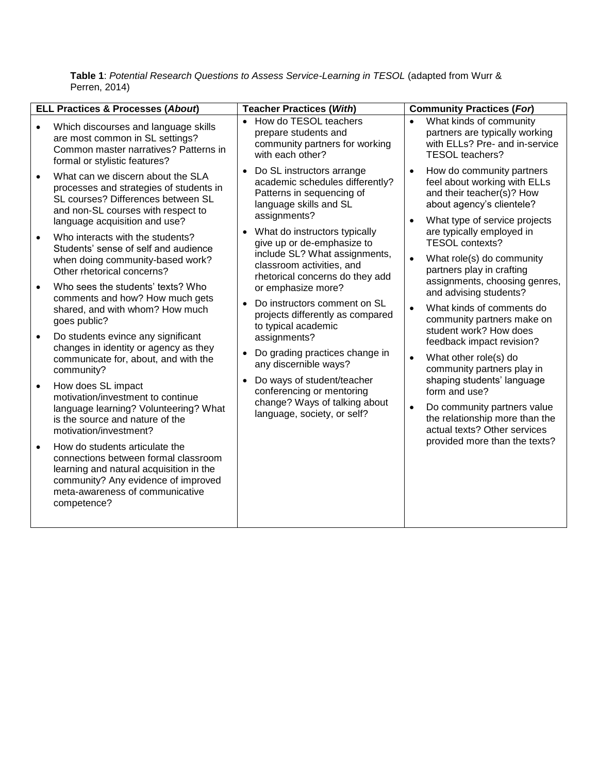|           | <b>ELL Practices &amp; Processes (About)</b>                                                                                                                                                               | <b>Teacher Practices (With)</b>                                                                                                                                                          | <b>Community Practices (For)</b>                                                                                                                                                                                                              |
|-----------|------------------------------------------------------------------------------------------------------------------------------------------------------------------------------------------------------------|------------------------------------------------------------------------------------------------------------------------------------------------------------------------------------------|-----------------------------------------------------------------------------------------------------------------------------------------------------------------------------------------------------------------------------------------------|
|           | Which discourses and language skills<br>are most common in SL settings?<br>Common master narratives? Patterns in<br>formal or stylistic features?                                                          | How do TESOL teachers<br>prepare students and<br>community partners for working<br>with each other?                                                                                      | What kinds of community<br>partners are typically working<br>with ELLs? Pre- and in-service<br>TESOL teachers?                                                                                                                                |
|           | What can we discern about the SLA<br>processes and strategies of students in<br>SL courses? Differences between SL<br>and non-SL courses with respect to<br>language acquisition and use?                  | Do SL instructors arrange<br>$\bullet$<br>academic schedules differently?<br>Patterns in sequencing of<br>language skills and SL<br>assignments?                                         | How do community partners<br>$\bullet$<br>feel about working with ELLs<br>and their teacher(s)? How<br>about agency's clientele?<br>What type of service projects                                                                             |
|           | Who interacts with the students?<br>Students' sense of self and audience<br>when doing community-based work?<br>Other rhetorical concerns?                                                                 | What do instructors typically<br>give up or de-emphasize to<br>include SL? What assignments,<br>classroom activities, and<br>rhetorical concerns do they add                             | are typically employed in<br><b>TESOL contexts?</b><br>What role(s) do community<br>partners play in crafting                                                                                                                                 |
|           | Who sees the students' texts? Who<br>comments and how? How much gets<br>shared, and with whom? How much<br>goes public?                                                                                    | or emphasize more?<br>Do instructors comment on SL<br>projects differently as compared<br>to typical academic<br>assignments?<br>Do grading practices change in<br>any discernible ways? | assignments, choosing genres,<br>and advising students?<br>What kinds of comments do<br>$\bullet$<br>community partners make on<br>student work? How does<br>feedback impact revision?<br>What other role(s) do<br>community partners play in |
| $\bullet$ | Do students evince any significant<br>changes in identity or agency as they<br>communicate for, about, and with the<br>community?                                                                          |                                                                                                                                                                                          |                                                                                                                                                                                                                                               |
| $\bullet$ | How does SL impact<br>motivation/investment to continue<br>language learning? Volunteering? What<br>is the source and nature of the<br>motivation/investment?                                              | Do ways of student/teacher<br>conferencing or mentoring<br>change? Ways of talking about<br>language, society, or self?                                                                  | shaping students' language<br>form and use?<br>Do community partners value<br>$\bullet$<br>the relationship more than the<br>actual texts? Other services                                                                                     |
|           | How do students articulate the<br>connections between formal classroom<br>learning and natural acquisition in the<br>community? Any evidence of improved<br>meta-awareness of communicative<br>competence? |                                                                                                                                                                                          | provided more than the texts?                                                                                                                                                                                                                 |

**Table 1**: *Potential Research Questions to Assess Service-Learning in TESOL* (adapted from Wurr & Perren, 2014)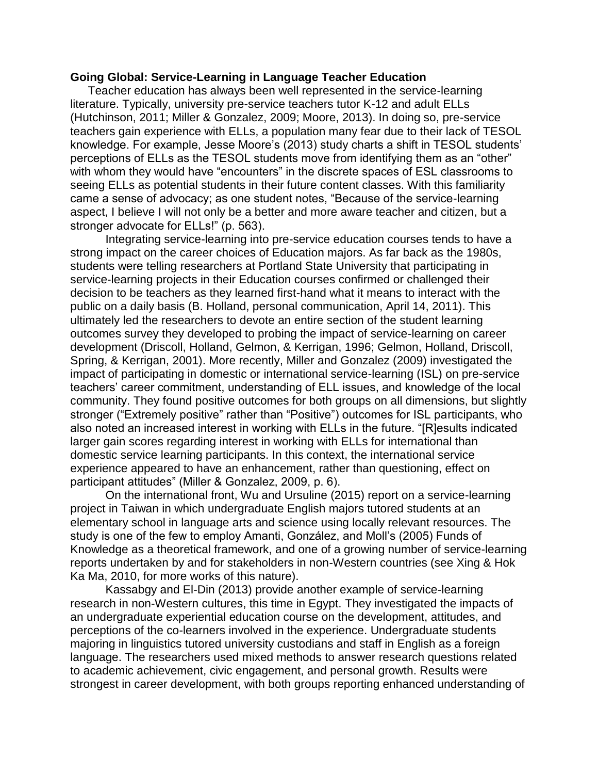#### **Going Global: Service-Learning in Language Teacher Education**

Teacher education has always been well represented in the service-learning literature. Typically, university pre-service teachers tutor K-12 and adult ELLs (Hutchinson, 2011; Miller & Gonzalez, 2009; Moore, 2013). In doing so, pre-service teachers gain experience with ELLs, a population many fear due to their lack of TESOL knowledge. For example, Jesse Moore's (2013) study charts a shift in TESOL students' perceptions of ELLs as the TESOL students move from identifying them as an "other" with whom they would have "encounters" in the discrete spaces of ESL classrooms to seeing ELLs as potential students in their future content classes. With this familiarity came a sense of advocacy; as one student notes, "Because of the service-learning aspect, I believe I will not only be a better and more aware teacher and citizen, but a stronger advocate for ELLs!" (p. 563).

Integrating service-learning into pre-service education courses tends to have a strong impact on the career choices of Education majors. As far back as the 1980s, students were telling researchers at Portland State University that participating in service-learning projects in their Education courses confirmed or challenged their decision to be teachers as they learned first-hand what it means to interact with the public on a daily basis (B. Holland, personal communication, April 14, 2011). This ultimately led the researchers to devote an entire section of the student learning outcomes survey they developed to probing the impact of service-learning on career development (Driscoll, Holland, Gelmon, & Kerrigan, 1996; Gelmon, Holland, Driscoll, Spring, & Kerrigan, 2001). More recently, Miller and Gonzalez (2009) investigated the impact of participating in domestic or international service-learning (ISL) on pre-service teachers' career commitment, understanding of ELL issues, and knowledge of the local community. They found positive outcomes for both groups on all dimensions, but slightly stronger ("Extremely positive" rather than "Positive") outcomes for ISL participants, who also noted an increased interest in working with ELLs in the future. "[R]esults indicated larger gain scores regarding interest in working with ELLs for international than domestic service learning participants. In this context, the international service experience appeared to have an enhancement, rather than questioning, effect on participant attitudes" (Miller & Gonzalez, 2009, p. 6).

On the international front, Wu and Ursuline (2015) report on a service-learning project in Taiwan in which undergraduate English majors tutored students at an elementary school in language arts and science using locally relevant resources. The study is one of the few to employ Amanti, González, and Moll's (2005) Funds of Knowledge as a theoretical framework, and one of a growing number of service-learning reports undertaken by and for stakeholders in non-Western countries (see Xing & Hok Ka Ma, 2010, for more works of this nature).

Kassabgy and El-Din (2013) provide another example of service-learning research in non-Western cultures, this time in Egypt. They investigated the impacts of an undergraduate experiential education course on the development, attitudes, and perceptions of the co-learners involved in the experience. Undergraduate students majoring in linguistics tutored university custodians and staff in English as a foreign language. The researchers used mixed methods to answer research questions related to academic achievement, civic engagement, and personal growth. Results were strongest in career development, with both groups reporting enhanced understanding of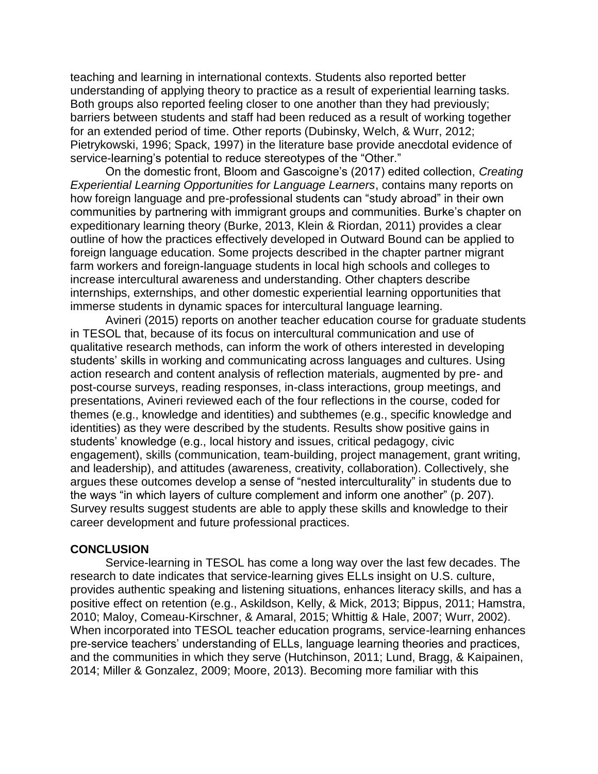teaching and learning in international contexts. Students also reported better understanding of applying theory to practice as a result of experiential learning tasks. Both groups also reported feeling closer to one another than they had previously; barriers between students and staff had been reduced as a result of working together for an extended period of time. Other reports (Dubinsky, Welch, & Wurr, 2012; Pietrykowski, 1996; Spack, 1997) in the literature base provide anecdotal evidence of service-learning's potential to reduce stereotypes of the "Other."

On the domestic front, Bloom and Gascoigne's (2017) edited collection, *Creating Experiential Learning Opportunities for Language Learners*, contains many reports on how foreign language and pre-professional students can "study abroad" in their own communities by partnering with immigrant groups and communities. Burke's chapter on expeditionary learning theory (Burke, 2013, Klein & Riordan, 2011) provides a clear outline of how the practices effectively developed in Outward Bound can be applied to foreign language education. Some projects described in the chapter partner migrant farm workers and foreign-language students in local high schools and colleges to increase intercultural awareness and understanding. Other chapters describe internships, externships, and other domestic experiential learning opportunities that immerse students in dynamic spaces for intercultural language learning.

Avineri (2015) reports on another teacher education course for graduate students in TESOL that, because of its focus on intercultural communication and use of qualitative research methods, can inform the work of others interested in developing students' skills in working and communicating across languages and cultures. Using action research and content analysis of reflection materials, augmented by pre- and post-course surveys, reading responses, in-class interactions, group meetings, and presentations, Avineri reviewed each of the four reflections in the course, coded for themes (e.g., knowledge and identities) and subthemes (e.g., specific knowledge and identities) as they were described by the students. Results show positive gains in students' knowledge (e.g., local history and issues, critical pedagogy, civic engagement), skills (communication, team-building, project management, grant writing, and leadership), and attitudes (awareness, creativity, collaboration). Collectively, she argues these outcomes develop a sense of "nested interculturality" in students due to the ways "in which layers of culture complement and inform one another" (p. 207). Survey results suggest students are able to apply these skills and knowledge to their career development and future professional practices.

#### **CONCLUSION**

Service-learning in TESOL has come a long way over the last few decades. The research to date indicates that service-learning gives ELLs insight on U.S. culture, provides authentic speaking and listening situations, enhances literacy skills, and has a positive effect on retention (e.g., Askildson, Kelly, & Mick, 2013; Bippus, 2011; Hamstra, 2010; Maloy, Comeau-Kirschner, & Amaral, 2015; Whittig & Hale, 2007; Wurr, 2002). When incorporated into TESOL teacher education programs, service-learning enhances pre-service teachers' understanding of ELLs, language learning theories and practices, and the communities in which they serve (Hutchinson, 2011; Lund, Bragg, & Kaipainen, 2014; Miller & Gonzalez, 2009; Moore, 2013). Becoming more familiar with this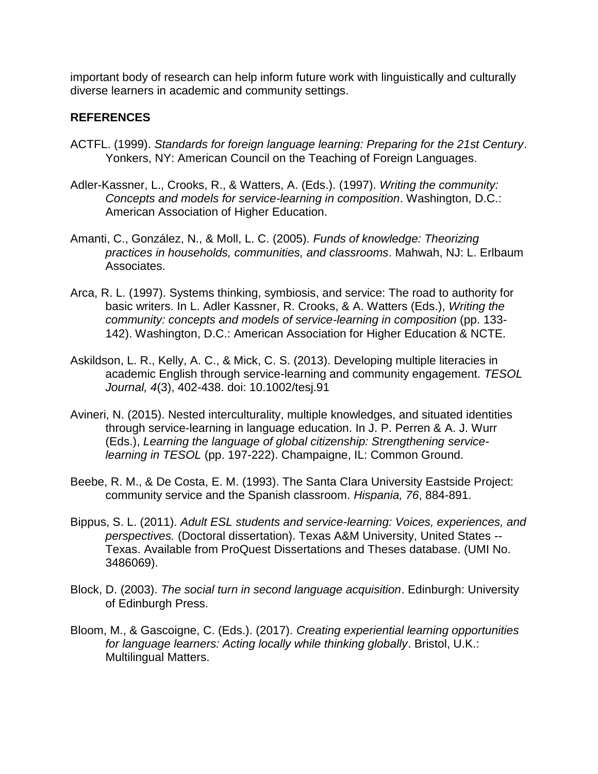important body of research can help inform future work with linguistically and culturally diverse learners in academic and community settings.

# **REFERENCES**

- ACTFL. (1999). *Standards for foreign language learning: Preparing for the 21st Century*. Yonkers, NY: American Council on the Teaching of Foreign Languages.
- Adler-Kassner, L., Crooks, R., & Watters, A. (Eds.). (1997). *Writing the community: Concepts and models for service-learning in composition*. Washington, D.C.: American Association of Higher Education.
- Amanti, C., González, N., & Moll, L. C. (2005). *Funds of knowledge: Theorizing practices in households, communities, and classrooms*. Mahwah, NJ: L. Erlbaum Associates.
- Arca, R. L. (1997). Systems thinking, symbiosis, and service: The road to authority for basic writers. In L. Adler Kassner, R. Crooks, & A. Watters (Eds.), *Writing the community: concepts and models of service-learning in composition* (pp. 133- 142). Washington, D.C.: American Association for Higher Education & NCTE.
- Askildson, L. R., Kelly, A. C., & Mick, C. S. (2013). Developing multiple literacies in academic English through service-learning and community engagement. *TESOL Journal, 4*(3), 402-438. doi: 10.1002/tesj.91
- Avineri, N. (2015). Nested interculturality, multiple knowledges, and situated identities through service-learning in language education. In J. P. Perren & A. J. Wurr (Eds.), *Learning the language of global citizenship: Strengthening servicelearning in TESOL* (pp. 197-222). Champaigne, IL: Common Ground.
- Beebe, R. M., & De Costa, E. M. (1993). The Santa Clara University Eastside Project: community service and the Spanish classroom. *Hispania, 76*, 884-891.
- Bippus, S. L. (2011). *Adult ESL students and service-learning: Voices, experiences, and perspectives.* (Doctoral dissertation). Texas A&M University, United States -- Texas. Available from ProQuest Dissertations and Theses database. (UMI No. 3486069).
- Block, D. (2003). *The social turn in second language acquisition*. Edinburgh: University of Edinburgh Press.
- Bloom, M., & Gascoigne, C. (Eds.). (2017). *Creating experiential learning opportunities for language learners: Acting locally while thinking globally*. Bristol, U.K.: Multilingual Matters.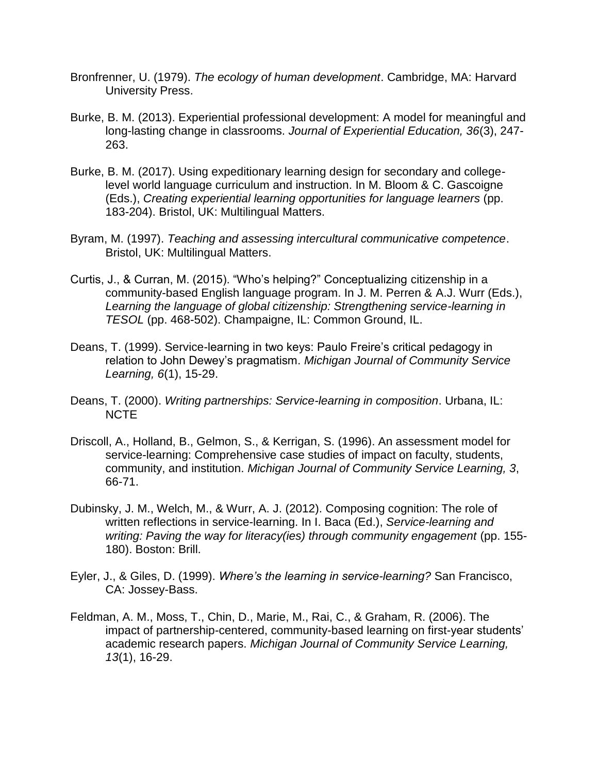- Bronfrenner, U. (1979). *The ecology of human development*. Cambridge, MA: Harvard University Press.
- Burke, B. M. (2013). Experiential professional development: A model for meaningful and long-lasting change in classrooms. *Journal of Experiential Education, 36*(3), 247- 263.
- Burke, B. M. (2017). Using expeditionary learning design for secondary and collegelevel world language curriculum and instruction. In M. Bloom & C. Gascoigne (Eds.), *Creating experiential learning opportunities for language learners* (pp. 183-204). Bristol, UK: Multilingual Matters.
- Byram, M. (1997). *Teaching and assessing intercultural communicative competence*. Bristol, UK: Multilingual Matters.
- Curtis, J., & Curran, M. (2015). "Who's helping?" Conceptualizing citizenship in a community-based English language program. In J. M. Perren & A.J. Wurr (Eds.), *Learning the language of global citizenship: Strengthening service-learning in TESOL* (pp. 468-502). Champaigne, IL: Common Ground, IL.
- Deans, T. (1999). Service-learning in two keys: Paulo Freire's critical pedagogy in relation to John Dewey's pragmatism. *Michigan Journal of Community Service Learning, 6*(1), 15-29.
- Deans, T. (2000). *Writing partnerships: Service-learning in composition*. Urbana, IL: NCTE
- Driscoll, A., Holland, B., Gelmon, S., & Kerrigan, S. (1996). An assessment model for service-learning: Comprehensive case studies of impact on faculty, students, community, and institution. *Michigan Journal of Community Service Learning, 3*, 66-71.
- Dubinsky, J. M., Welch, M., & Wurr, A. J. (2012). Composing cognition: The role of written reflections in service-learning. In I. Baca (Ed.), *Service-learning and writing: Paving the way for literacy(ies) through community engagement* (pp. 155- 180). Boston: Brill.
- Eyler, J., & Giles, D. (1999). *Where's the learning in service-learning?* San Francisco, CA: Jossey-Bass.
- Feldman, A. M., Moss, T., Chin, D., Marie, M., Rai, C., & Graham, R. (2006). The impact of partnership-centered, community-based learning on first-year students' academic research papers. *Michigan Journal of Community Service Learning, 13*(1), 16-29.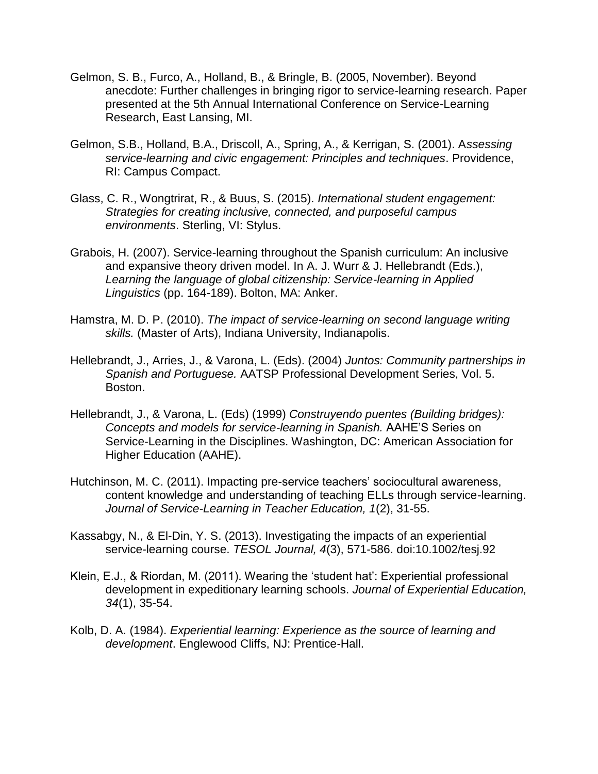- Gelmon, S. B., Furco, A., Holland, B., & Bringle, B. (2005, November). Beyond anecdote: Further challenges in bringing rigor to service-learning research. Paper presented at the 5th Annual International Conference on Service-Learning Research, East Lansing, MI.
- Gelmon, S.B., Holland, B.A., Driscoll, A., Spring, A., & Kerrigan, S. (2001). A*ssessing service-learning and civic engagement: Principles and techniques*. Providence, RI: Campus Compact.
- Glass, C. R., Wongtrirat, R., & Buus, S. (2015). *International student engagement: Strategies for creating inclusive, connected, and purposeful campus environments*. Sterling, VI: Stylus.
- Grabois, H. (2007). Service-learning throughout the Spanish curriculum: An inclusive and expansive theory driven model. In A. J. Wurr & J. Hellebrandt (Eds.), *Learning the language of global citizenship: Service-learning in Applied Linguistics* (pp. 164-189). Bolton, MA: Anker.
- Hamstra, M. D. P. (2010). *The impact of service-learning on second language writing skills.* (Master of Arts), Indiana University, Indianapolis.
- Hellebrandt, J., Arries, J., & Varona, L. (Eds). (2004) *Juntos: Community partnerships in Spanish and Portuguese.* AATSP Professional Development Series, Vol. 5. Boston.
- Hellebrandt, J., & Varona, L. (Eds) (1999) *Construyendo puentes (Building bridges): Concepts and models for service-learning in Spanish.* AAHE'S Series on Service-Learning in the Disciplines. Washington, DC: American Association for Higher Education (AAHE).
- Hutchinson, M. C. (2011). Impacting pre-service teachers' sociocultural awareness, content knowledge and understanding of teaching ELLs through service-learning. *Journal of Service-Learning in Teacher Education, 1*(2), 31-55.
- Kassabgy, N., & El-Din, Y. S. (2013). Investigating the impacts of an experiential service-learning course. *TESOL Journal, 4*(3), 571-586. doi:10.1002/tesj.92
- Klein, E.J., & Riordan, M. (2011). Wearing the 'student hat': Experiential professional development in expeditionary learning schools. *Journal of Experiential Education, 34*(1), 35-54.
- Kolb, D. A. (1984). *Experiential learning: Experience as the source of learning and development*. Englewood Cliffs, NJ: Prentice-Hall.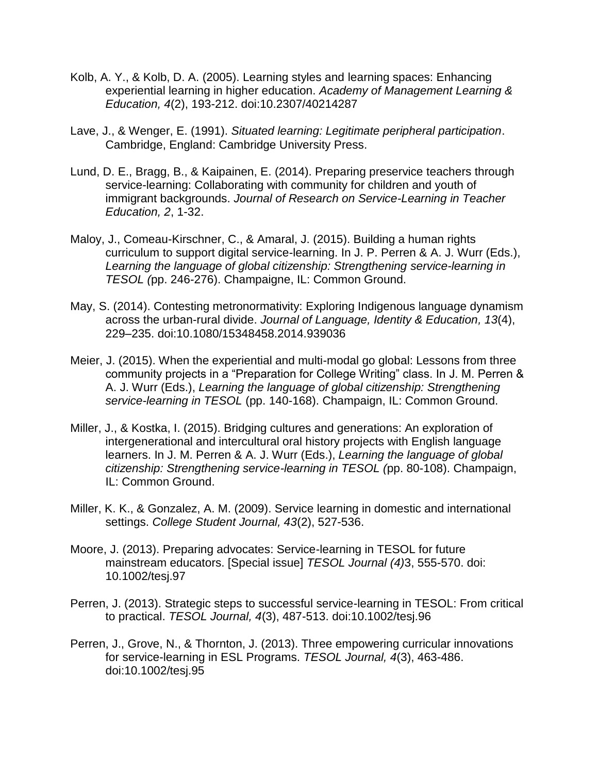- Kolb, A. Y., & Kolb, D. A. (2005). Learning styles and learning spaces: Enhancing experiential learning in higher education. *Academy of Management Learning & Education, 4*(2), 193-212. doi:10.2307/40214287
- Lave, J., & Wenger, E. (1991). *Situated learning: Legitimate peripheral participation*. Cambridge, England: Cambridge University Press.
- Lund, D. E., Bragg, B., & Kaipainen, E. (2014). Preparing preservice teachers through service-learning: Collaborating with community for children and youth of immigrant backgrounds. *Journal of Research on Service-Learning in Teacher Education, 2*, 1-32.
- Maloy, J., Comeau-Kirschner, C., & Amaral, J. (2015). Building a human rights curriculum to support digital service-learning. In J. P. Perren & A. J. Wurr (Eds.), *Learning the language of global citizenship: Strengthening service-learning in TESOL (*pp. 246-276). Champaigne, IL: Common Ground.
- May, S. (2014). Contesting metronormativity: Exploring Indigenous language dynamism across the urban-rural divide. *Journal of Language, Identity & Education, 13*(4), 229–235. doi:10.1080/15348458.2014.939036
- Meier, J. (2015). When the experiential and multi-modal go global: Lessons from three community projects in a "Preparation for College Writing" class. In J. M. Perren & A. J. Wurr (Eds.), *Learning the language of global citizenship: Strengthening service-learning in TESOL* (pp. 140-168). Champaign, IL: Common Ground.
- Miller, J., & Kostka, I. (2015). Bridging cultures and generations: An exploration of intergenerational and intercultural oral history projects with English language learners. In J. M. Perren & A. J. Wurr (Eds.), *Learning the language of global citizenship: Strengthening service-learning in TESOL (*pp. 80-108). Champaign, IL: Common Ground.
- Miller, K. K., & Gonzalez, A. M. (2009). Service learning in domestic and international settings. *College Student Journal, 43*(2), 527-536.
- Moore, J. (2013). Preparing advocates: Service-learning in TESOL for future mainstream educators. [Special issue] *TESOL Journal (4)*3, 555-570. doi: 10.1002/tesj.97
- Perren, J. (2013). Strategic steps to successful service-learning in TESOL: From critical to practical. *TESOL Journal, 4*(3), 487-513. doi:10.1002/tesj.96
- Perren, J., Grove, N., & Thornton, J. (2013). Three empowering curricular innovations for service-learning in ESL Programs. *TESOL Journal, 4*(3), 463-486. doi:10.1002/tesj.95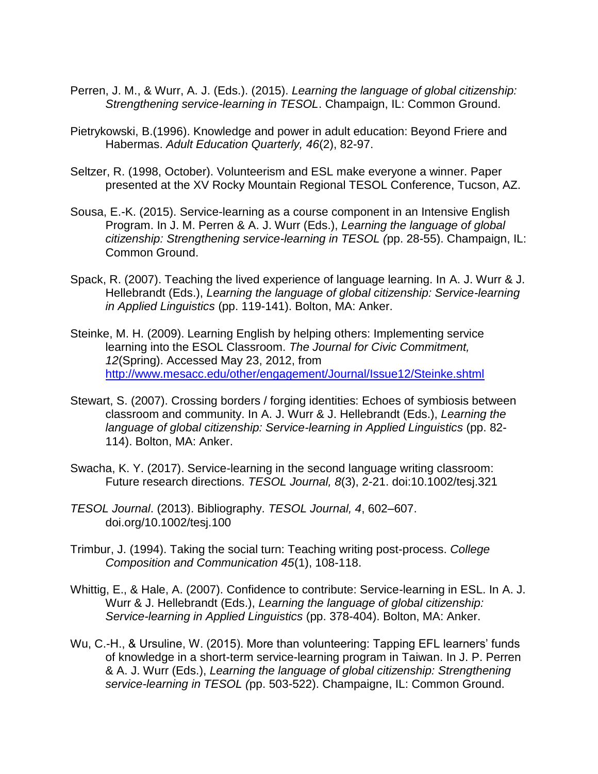- Perren, J. M., & Wurr, A. J. (Eds.). (2015). *Learning the language of global citizenship: Strengthening service-learning in TESOL*. Champaign, IL: Common Ground.
- Pietrykowski, B.(1996). Knowledge and power in adult education: Beyond Friere and Habermas. *Adult Education Quarterly, 46*(2), 82-97.
- Seltzer, R. (1998, October). Volunteerism and ESL make everyone a winner. Paper presented at the XV Rocky Mountain Regional TESOL Conference, Tucson, AZ.
- Sousa, E.-K. (2015). Service-learning as a course component in an Intensive English Program. In J. M. Perren & A. J. Wurr (Eds.), *Learning the language of global citizenship: Strengthening service-learning in TESOL (*pp. 28-55). Champaign, IL: Common Ground.
- Spack, R. (2007). Teaching the lived experience of language learning. In A. J. Wurr & J. Hellebrandt (Eds.), *Learning the language of global citizenship: Service-learning in Applied Linguistics* (pp. 119-141). Bolton, MA: Anker.
- Steinke, M. H. (2009). Learning English by helping others: Implementing service learning into the ESOL Classroom. *The Journal for Civic Commitment, 12*(Spring). Accessed May 23, 2012, from <http://www.mesacc.edu/other/engagement/Journal/Issue12/Steinke.shtml>
- Stewart, S. (2007). Crossing borders / forging identities: Echoes of symbiosis between classroom and community. In A. J. Wurr & J. Hellebrandt (Eds.), *Learning the language of global citizenship: Service-learning in Applied Linguistics* (pp. 82- 114). Bolton, MA: Anker.
- Swacha, K. Y. (2017). Service-learning in the second language writing classroom: Future research directions. *TESOL Journal, 8*(3), 2-21. doi:10.1002/tesj.321
- *TESOL Journal*. (2013). Bibliography. *TESOL Journal, 4*, 602–607. doi.org/10.1002/tesj.100
- Trimbur, J. (1994). Taking the social turn: Teaching writing post-process. *College Composition and Communication 45*(1), 108-118.
- Whittig, E., & Hale, A. (2007). Confidence to contribute: Service-learning in ESL. In A. J. Wurr & J. Hellebrandt (Eds.), *Learning the language of global citizenship: Service-learning in Applied Linguistics* (pp. 378-404). Bolton, MA: Anker.
- Wu, C.-H., & Ursuline, W. (2015). More than volunteering: Tapping EFL learners' funds of knowledge in a short-term service-learning program in Taiwan. In J. P. Perren & A. J. Wurr (Eds.), *Learning the language of global citizenship: Strengthening service-learning in TESOL (*pp. 503-522). Champaigne, IL: Common Ground.